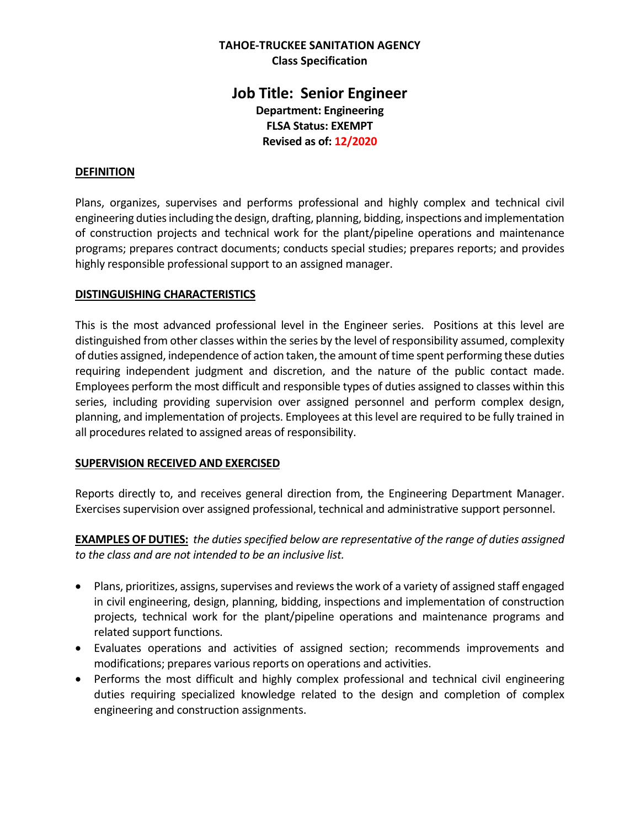### **TAHOE-TRUCKEE SANITATION AGENCY Class Specification**

# **Job Title: Senior Engineer Department: Engineering FLSA Status: EXEMPT Revised as of: 12/2020**

### **DEFINITION**

Plans, organizes, supervises and performs professional and highly complex and technical civil engineering duties including the design, drafting, planning, bidding, inspections and implementation of construction projects and technical work for the plant/pipeline operations and maintenance programs; prepares contract documents; conducts special studies; prepares reports; and provides highly responsible professional support to an assigned manager.

#### **DISTINGUISHING CHARACTERISTICS**

This is the most advanced professional level in the Engineer series. Positions at this level are distinguished from other classes within the series by the level of responsibility assumed, complexity of duties assigned, independence of action taken, the amount of time spent performing these duties requiring independent judgment and discretion, and the nature of the public contact made. Employees perform the most difficult and responsible types of duties assigned to classes within this series, including providing supervision over assigned personnel and perform complex design, planning, and implementation of projects. Employees at this level are required to be fully trained in all procedures related to assigned areas of responsibility.

### **SUPERVISION RECEIVED AND EXERCISED**

Reports directly to, and receives general direction from, the Engineering Department Manager. Exercises supervision over assigned professional, technical and administrative support personnel.

**EXAMPLES OF DUTIES:** *the duties specified below are representative of the range of duties assigned to the class and are not intended to be an inclusive list.*

- Plans, prioritizes, assigns, supervises and reviews the work of a variety of assigned staff engaged in civil engineering, design, planning, bidding, inspections and implementation of construction projects, technical work for the plant/pipeline operations and maintenance programs and related support functions.
- Evaluates operations and activities of assigned section; recommends improvements and modifications; prepares various reports on operations and activities.
- Performs the most difficult and highly complex professional and technical civil engineering duties requiring specialized knowledge related to the design and completion of complex engineering and construction assignments.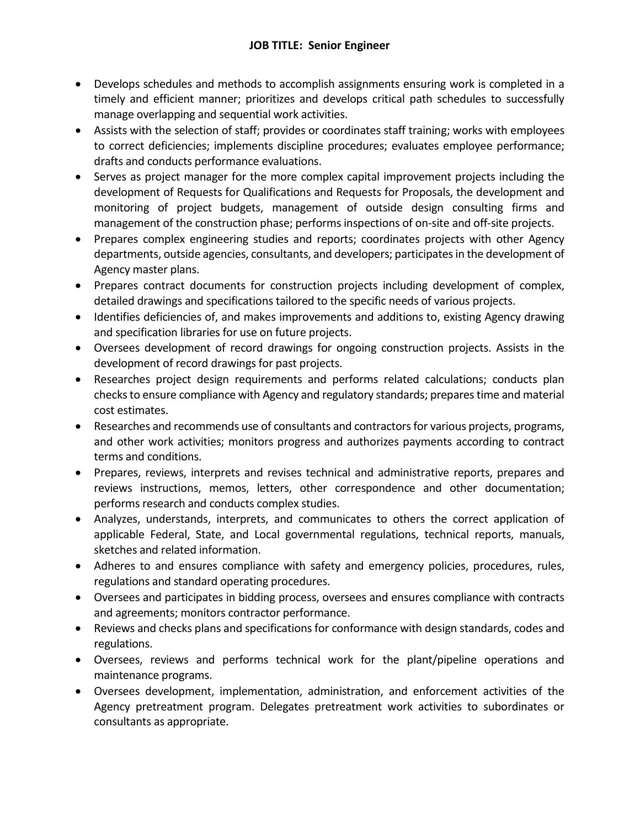- Develops schedules and methods to accomplish assignments ensuring work is completed in a timely and efficient manner; prioritizes and develops critical path schedules to successfully manage overlapping and sequential work activities.
- Assists with the selection of staff; provides or coordinates staff training; works with employees to correct deficiencies; implements discipline procedures; evaluates employee performance; drafts and conducts performance evaluations.
- Serves as project manager for the more complex capital improvement projects including the development of Requests for Qualifications and Requests for Proposals, the development and monitoring of project budgets, management of outside design consulting firms and management of the construction phase; performs inspections of on-site and off-site projects.
- Prepares complex engineering studies and reports; coordinates projects with other Agency departments, outside agencies, consultants, and developers; participates in the development of Agency master plans.
- Prepares contract documents for construction projects including development of complex, detailed drawings and specifications tailored to the specific needs of various projects.
- Identifies deficiencies of, and makes improvements and additions to, existing Agency drawing and specification libraries for use on future projects.
- Oversees development of record drawings for ongoing construction projects. Assists in the development of record drawings for past projects.
- Researches project design requirements and performs related calculations; conducts plan checks to ensure compliance with Agency and regulatory standards; prepares time and material cost estimates.
- Researches and recommends use of consultants and contractors for various projects, programs, and other work activities; monitors progress and authorizes payments according to contract terms and conditions.
- Prepares, reviews, interprets and revises technical and administrative reports, prepares and reviews instructions, memos, letters, other correspondence and other documentation; performs research and conducts complex studies.
- Analyzes, understands, interprets, and communicates to others the correct application of applicable Federal, State, and Local governmental regulations, technical reports, manuals, sketches and related information.
- Adheres to and ensures compliance with safety and emergency policies, procedures, rules, regulations and standard operating procedures.
- Oversees and participates in bidding process, oversees and ensures compliance with contracts and agreements; monitors contractor performance.
- Reviews and checks plans and specifications for conformance with design standards, codes and regulations.
- Oversees, reviews and performs technical work for the plant/pipeline operations and maintenance programs.
- Oversees development, implementation, administration, and enforcement activities of the Agency pretreatment program. Delegates pretreatment work activities to subordinates or consultants as appropriate.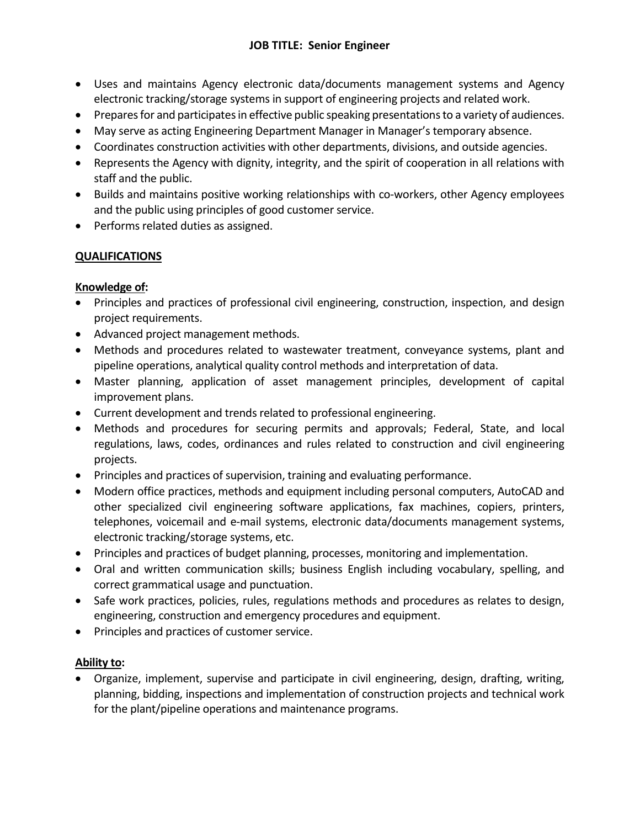## **JOB TITLE: Senior Engineer**

- Uses and maintains Agency electronic data/documents management systems and Agency electronic tracking/storage systems in support of engineering projects and related work.
- Prepares for and participates in effective public speaking presentations to a variety of audiences.
- May serve as acting Engineering Department Manager in Manager's temporary absence.
- Coordinates construction activities with other departments, divisions, and outside agencies.
- Represents the Agency with dignity, integrity, and the spirit of cooperation in all relations with staff and the public.
- Builds and maintains positive working relationships with co-workers, other Agency employees and the public using principles of good customer service.
- Performs related duties as assigned.

## **QUALIFICATIONS**

### **Knowledge of:**

- Principles and practices of professional civil engineering, construction, inspection, and design project requirements.
- Advanced project management methods.
- Methods and procedures related to wastewater treatment, conveyance systems, plant and pipeline operations, analytical quality control methods and interpretation of data.
- Master planning, application of asset management principles, development of capital improvement plans.
- Current development and trends related to professional engineering.
- Methods and procedures for securing permits and approvals; Federal, State, and local regulations, laws, codes, ordinances and rules related to construction and civil engineering projects.
- Principles and practices of supervision, training and evaluating performance.
- Modern office practices, methods and equipment including personal computers, AutoCAD and other specialized civil engineering software applications, fax machines, copiers, printers, telephones, voicemail and e-mail systems, electronic data/documents management systems, electronic tracking/storage systems, etc.
- Principles and practices of budget planning, processes, monitoring and implementation.
- Oral and written communication skills; business English including vocabulary, spelling, and correct grammatical usage and punctuation.
- Safe work practices, policies, rules, regulations methods and procedures as relates to design, engineering, construction and emergency procedures and equipment.
- Principles and practices of customer service.

### **Ability to:**

• Organize, implement, supervise and participate in civil engineering, design, drafting, writing, planning, bidding, inspections and implementation of construction projects and technical work for the plant/pipeline operations and maintenance programs.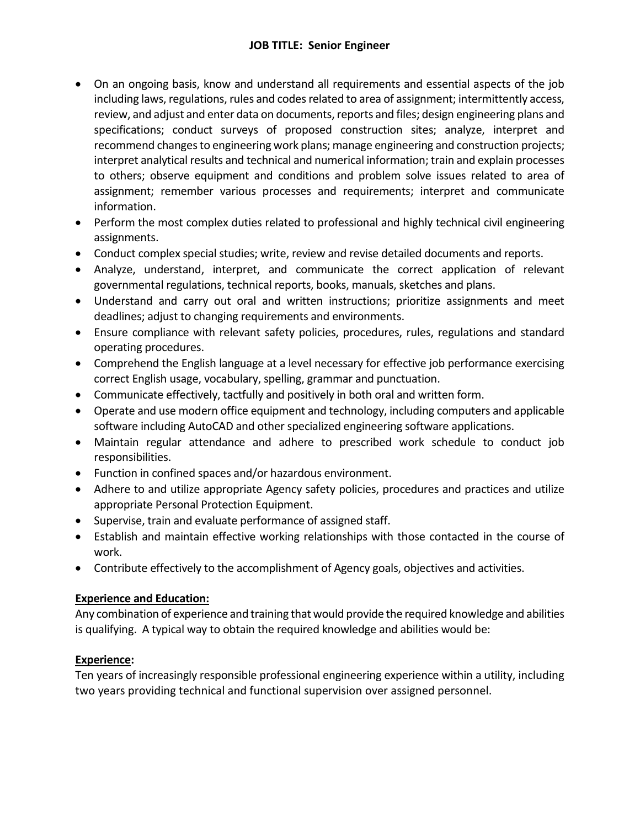## **JOB TITLE: Senior Engineer**

- On an ongoing basis, know and understand all requirements and essential aspects of the job including laws, regulations, rules and codes related to area of assignment; intermittently access, review, and adjust and enter data on documents, reports and files; design engineering plans and specifications; conduct surveys of proposed construction sites; analyze, interpret and recommend changes to engineering work plans; manage engineering and construction projects; interpret analytical results and technical and numerical information; train and explain processes to others; observe equipment and conditions and problem solve issues related to area of assignment; remember various processes and requirements; interpret and communicate information.
- Perform the most complex duties related to professional and highly technical civil engineering assignments.
- Conduct complex special studies; write, review and revise detailed documents and reports.
- Analyze, understand, interpret, and communicate the correct application of relevant governmental regulations, technical reports, books, manuals, sketches and plans.
- Understand and carry out oral and written instructions; prioritize assignments and meet deadlines; adjust to changing requirements and environments.
- Ensure compliance with relevant safety policies, procedures, rules, regulations and standard operating procedures.
- Comprehend the English language at a level necessary for effective job performance exercising correct English usage, vocabulary, spelling, grammar and punctuation.
- Communicate effectively, tactfully and positively in both oral and written form.
- Operate and use modern office equipment and technology, including computers and applicable software including AutoCAD and other specialized engineering software applications.
- Maintain regular attendance and adhere to prescribed work schedule to conduct job responsibilities.
- Function in confined spaces and/or hazardous environment.
- Adhere to and utilize appropriate Agency safety policies, procedures and practices and utilize appropriate Personal Protection Equipment.
- Supervise, train and evaluate performance of assigned staff.
- Establish and maintain effective working relationships with those contacted in the course of work.
- Contribute effectively to the accomplishment of Agency goals, objectives and activities.

## **Experience and Education:**

Any combination of experience and training that would provide the required knowledge and abilities is qualifying. A typical way to obtain the required knowledge and abilities would be:

## **Experience:**

Ten years of increasingly responsible professional engineering experience within a utility, including two years providing technical and functional supervision over assigned personnel.